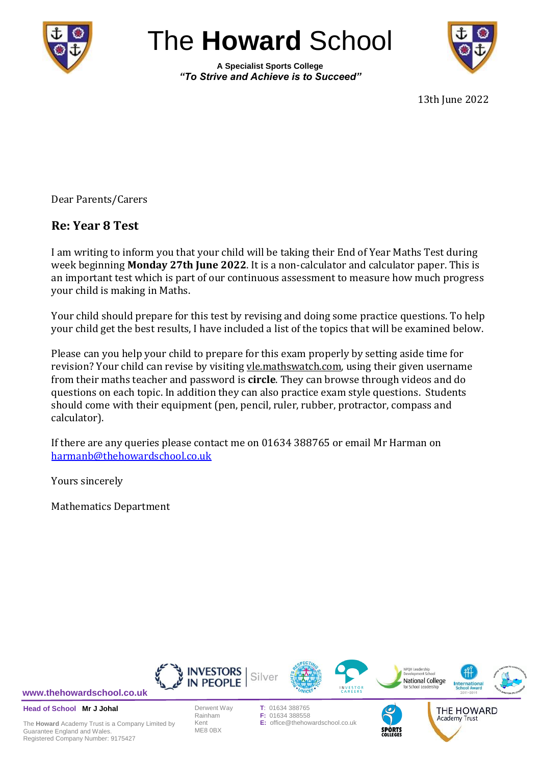

# The **Howard** School

**A Specialist Sports College** *"To Strive and Achieve is to Succeed"*



13th June 2022

Dear Parents/Carers

# **Re: Year 8 Test**

I am writing to inform you that your child will be taking their End of Year Maths Test during week beginning **Monday 27th June 2022**. It is a non-calculator and calculator paper. This is an important test which is part of our continuous assessment to measure how much progress your child is making in Maths.

Your child should prepare for this test by revising and doing some practice questions. To help your child get the best results, I have included a list of the topics that will be examined below.

Please can you help your child to prepare for this exam properly by setting aside time for revision? Your child can revise by visiting vle.mathswatch.com, using their given username from their maths teacher and password is **circle**. They can browse through videos and do questions on each topic. In addition they can also practice exam style questions. Students should come with their equipment (pen, pencil, ruler, rubber, protractor, compass and calculator).

If there are any queries please contact me on 01634 388765 or email Mr Harman on [harmanb@thehowardschool.co.uk](mailto:harmanb@thehowardschool.co.uk)

Yours sincerely

Mathematics Department

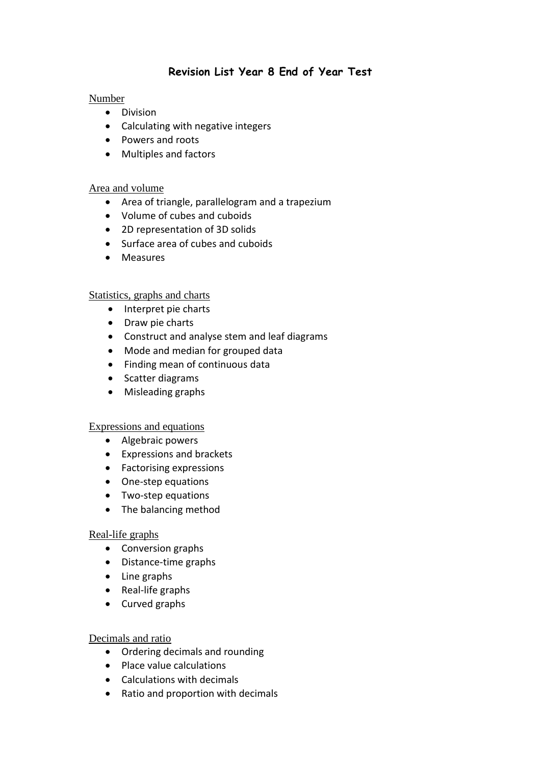# **Revision List Year 8 End of Year Test**

### Number

- Division
- Calculating with negative integers
- Powers and roots
- Multiples and factors

### Area and volume

- Area of triangle, parallelogram and a trapezium
- Volume of cubes and cuboids
- 2D representation of 3D solids
- Surface area of cubes and cuboids
- Measures

#### Statistics, graphs and charts

- Interpret pie charts
- Draw pie charts
- Construct and analyse stem and leaf diagrams
- Mode and median for grouped data
- Finding mean of continuous data
- Scatter diagrams
- Misleading graphs

#### Expressions and equations

- Algebraic powers
- Expressions and brackets
- Factorising expressions
- One-step equations
- Two-step equations
- The balancing method

#### Real-life graphs

- Conversion graphs
- Distance-time graphs
- Line graphs
- Real-life graphs
- Curved graphs

#### Decimals and ratio

- Ordering decimals and rounding
- Place value calculations
- Calculations with decimals
- Ratio and proportion with decimals